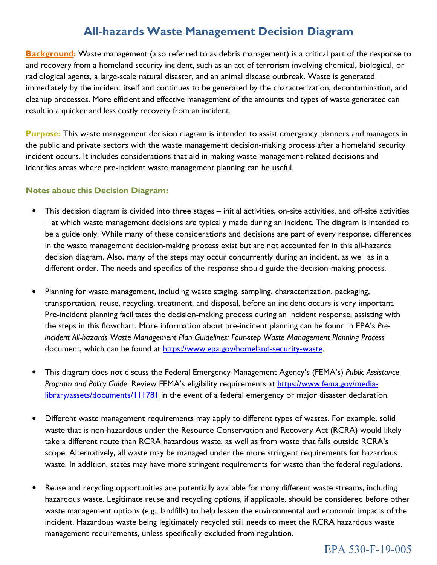## **All-hazards Waste Management Decision Diagram**

Background: Waste management (also referred to as debris management) is a critical part of the response to and recovery from a homeland security incident, such as an act of terrorism involving chemical, biological, or radiological agents, a large-scale natural disaster, and an animal disease outbreak. Waste is generated immediately by the incident itself and continues to be generated by the characterization, decontamination, and cleanup processes. More efficient and effective management of the amounts and types of waste generated can result in a quicker and less costly recovery from an incident.

Purpose: This waste management decision diagram is intended to assist emergency planners and managers in the public and private sectors with the waste management decision-making process after a homeland security incident occurs. It includes considerations that aid in making waste management-related decisions and identifies areas where pre-incident waste management planning can be useful.

## Notes about this Decision Diagram:

- This decision diagram is divided into three stages initial activities, on-site activities, and off-site activities – at which waste management decisions are typically made during an incident. The diagram is intended to be a guide only. While many of these considerations and decisions are part of every response, differences in the waste management decision-making process exist but are not accounted for in this all-hazards decision diagram. Also, many of the steps may occur concurrently during an incident, as well as in a different order. The needs and specifics of the response should guide the decision-making process.
- • Planning for waste management, including waste staging, sampling, characterization, packaging, transportation, reuse, recycling, treatment, and disposal, before an incident occurs is very important. Pre-incident planning facilitates the decision-making process during an incident response, assisting with the steps in this flowchart. More information about pre-incident planning can be found in EPA's Preincident All-hazards Waste Management Plan Guidelines: Four-step Waste Management Planning Process document, which can be found at https://www.epa.gov/homeland-security-waste.
- This diagram does not discuss the Federal Emergency Management Agency's (FEMA's) Public Assistance Program and Policy Guide. Review FEMA's eligibility requirements at [https://www.fema.gov/media](https://www.fema.gov/media-library/assets/documents/111781)[library/assets/documents/111781](https://www.fema.gov/media-library/assets/documents/111781) in the event of a federal emergency or major disaster declaration.
- Different waste management requirements may apply to different types of wastes. For example, solid waste that is non-hazardous under the Resource Conservation and Recovery Act (RCRA) would likely take a different route than RCRA hazardous waste, as well as from waste that falls outside RCRA's scope. Alternatively, all waste may be managed under the more stringent requirements for hazardous waste. In addition, states may have more stringent requirements for waste than the federal regulations.
- Reuse and recycling opportunities are potentially available for many different waste streams, including hazardous waste. Legitimate reuse and recycling options, if applicable, should be considered before other waste management options (e.g., landfills) to help lessen the environmental and economic impacts of the incident. Hazardous waste being legitimately recycled still needs to meet the RCRA hazardous waste management requirements, unless specifically excluded from regulation.